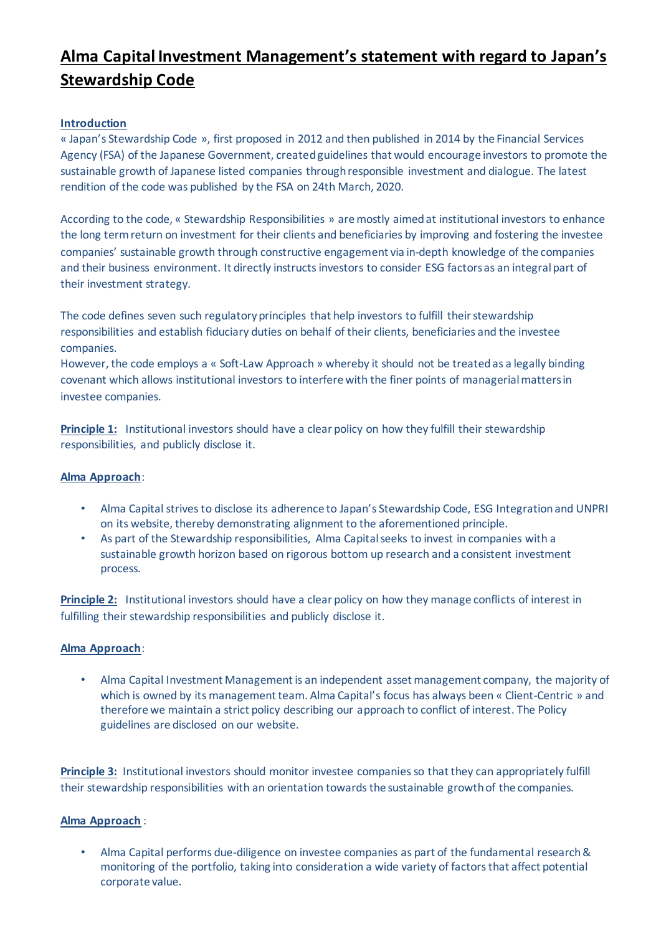# **Alma Capital Investment Management's statement with regard to Japan's Stewardship Code**

## **Introduction**

« Japan's Stewardship Code », first proposed in 2012 and then published in 2014 by the Financial Services Agency (FSA) of the Japanese Government, created guidelines that would encourage investors to promote the sustainable growth of Japanese listed companies through responsible investment and dialogue. The latest rendition of the code was published by the FSA on 24th March, 2020.

According to the code, « Stewardship Responsibilities » are mostly aimed at institutional investors to enhance the long term return on investment for their clients and beneficiaries by improving and fostering the investee companies' sustainable growth through constructive engagement via in-depth knowledge of the companies and their business environment. It directly instructs investors to consider ESG factors as an integral part of their investment strategy.

The code defines seven such regulatory principles that help investors to fulfill their stewardship responsibilities and establish fiduciary duties on behalf of their clients, beneficiaries and the investee companies.

However, the code employs a « Soft-Law Approach » whereby it should not be treated as a legally binding covenant which allows institutional investors to interfere with the finer points of managerial matters in investee companies.

**Principle 1:** Institutional investors should have a clear policy on how they fulfill their stewardship responsibilities, and publicly disclose it.

## **Alma Approach**:

- Alma Capital strives to disclose its adherence to Japan's Stewardship Code, ESG Integration and UNPRI on its website, thereby demonstrating alignment to the aforementioned principle.
- As part of the Stewardship responsibilities, Alma Capital seeks to invest in companies with a sustainable growth horizon based on rigorous bottom up research and a consistent investment process.

**Principle 2:** Institutional investors should have a clear policy on how they manage conflicts of interest in fulfilling their stewardship responsibilities and publicly disclose it.

#### **Alma Approach**:

• Alma Capital Investment Management is an independent asset management company, the majority of which is owned by its management team. Alma Capital's focus has always been « Client-Centric » and therefore we maintain a strict policy describing our approach to conflict of interest. The Policy guidelines are disclosed on our website.

**Principle 3:** Institutional investors should monitor investee companies so that they can appropriately fulfill their stewardship responsibilities with an orientation towards the sustainable growth of the companies.

#### **Alma Approach** :

• Alma Capital performs due-diligence on investee companies as part of the fundamental research & monitoring of the portfolio, taking into consideration a wide variety of factors that affect potential corporate value.